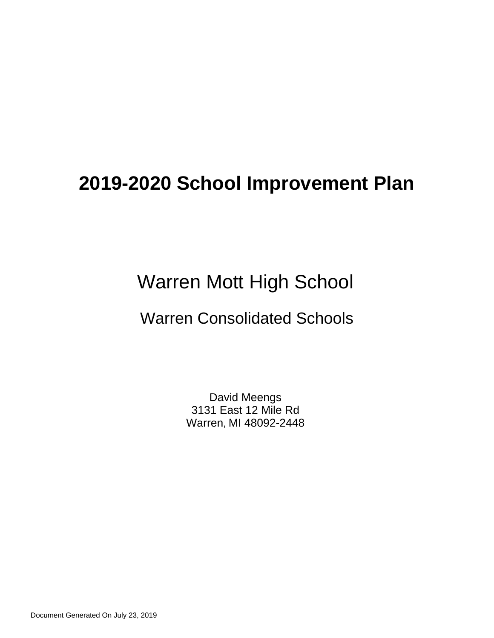# Warren Mott High School

# Warren Consolidated Schools

David Meengs 3131 East 12 Mile Rd Warren, MI 48092-2448

Document Generated On July 23, 2019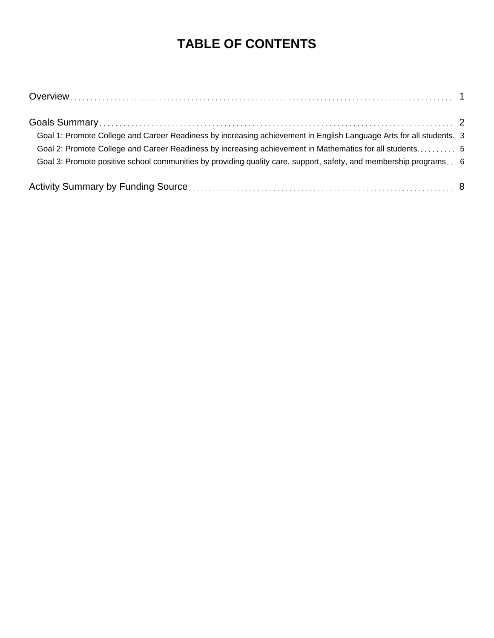# **TABLE OF CONTENTS**

| Goal 1: Promote College and Career Readiness by increasing achievement in English Language Arts for all students. 3 |  |
|---------------------------------------------------------------------------------------------------------------------|--|
| Goal 2: Promote College and Career Readiness by increasing achievement in Mathematics for all students5             |  |
| Goal 3: Promote positive school communities by providing quality care, support, safety, and membership programs 6   |  |
|                                                                                                                     |  |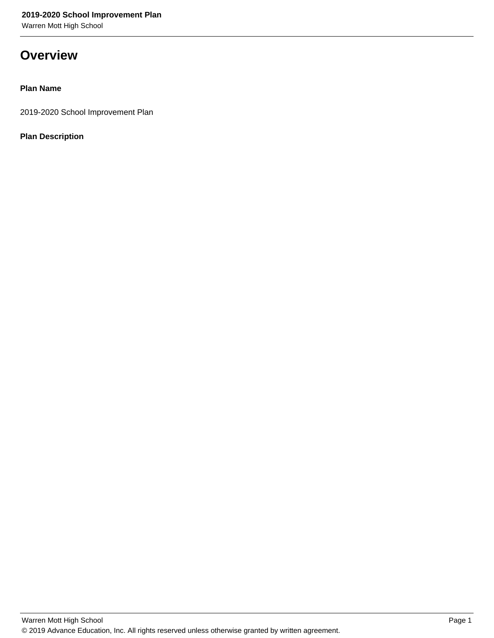Warren Mott High School

### **Overview**

### **Plan Name**

2019-2020 School Improvement Plan

### **Plan Description**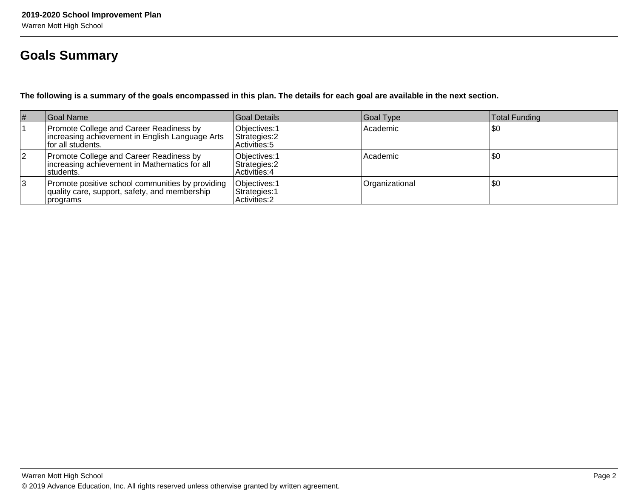## **Goals Summary**

**The following is a summary of the goals encompassed in this plan. The details for each goal are available in the next section.**

| #  | Goal Name                                                                                                       | Goal Details                                     | Goal Type      | Total Funding |
|----|-----------------------------------------------------------------------------------------------------------------|--------------------------------------------------|----------------|---------------|
|    | Promote College and Career Readiness by<br>Increasing achievement in English Language Arts<br>for all students. | Objectives: 1<br>Strategies: 2<br>Activities: 5  | l Academic     | \$0           |
| 12 | Promote College and Career Readiness by<br>increasing achievement in Mathematics for all<br>students.           | Objectives: 1<br>Strategies: 2<br> Activities: 4 | Academic       | \$0           |
| 3  | Promote positive school communities by providing<br>quality care, support, safety, and membership<br> programs  | Objectives: 1<br>Strategies: 1<br>Activities: 2  | Organizational | \$0           |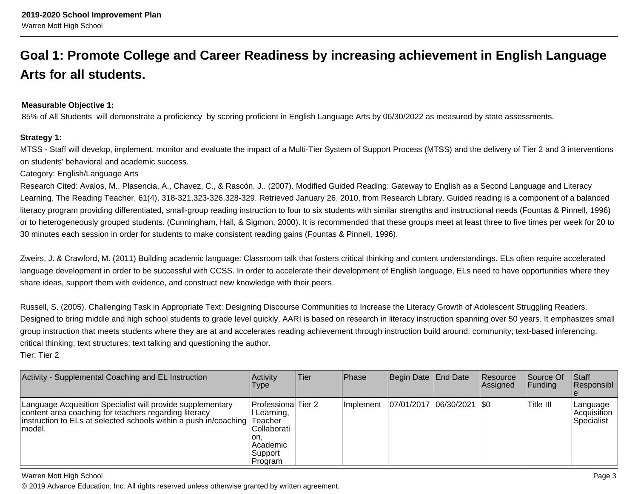# **Goal 1: Promote College and Career Readiness by increasing achievement in English LanguageArts for all students.**

#### **Measurable Objective 1:**

85% of All Students will demonstrate a proficiency by scoring proficient in English Language Arts by 06/30/2022 as measured by state assessments.

#### **Strategy 1:**

MTSS - Staff will develop, implement, monitor and evaluate the impact of a Multi-Tier System of Support Process (MTSS) and the delivery of Tier 2 and 3 interventionson students' behavioral and academic success.

#### Category: English/Language Arts

Research Cited: Avalos, M., Plasencia, A., Chavez, C., & Rascón, J.. (2007). Modified Guided Reading: Gateway to English as a Second Language and LiteracyLearning. The Reading Teacher, 61(4), 318-321,323-326,328-329. Retrieved January 26, 2010, from Research Library. Guided reading is a component of a balanced literacy program providing differentiated, small-group reading instruction to four to six students with similar strengths and instructional needs (Fountas & Pinnell, 1996)or to heterogeneously grouped students. (Cunningham, Hall, & Sigmon, 2000). It is recommended that these groups meet at least three to five times per week for 20 to30 minutes each session in order for students to make consistent reading gains (Fountas & Pinnell, 1996).

Zweirs, J. & Crawford, M. (2011) Building academic language: Classroom talk that fosters critical thinking and content understandings. ELs often require acceleratedlanguage development in order to be successful with CCSS. In order to accelerate their development of English language, ELs need to have opportunities where they share ideas, support them with evidence, and construct new knowledge with their peers.

Russell, S. (2005). Challenging Task in Appropriate Text: Designing Discourse Communities to Increase the Literacy Growth of Adolescent Struggling Readers.Designed to bring middle and high school students to grade level quickly, AARI is based on research in literacy instruction spanning over 50 years. It emphasizes smallgroup instruction that meets students where they are at and accelerates reading achievement through instruction build around: community; text-based inferencing;critical thinking; text structures; text talking and questioning the author.Tier: Tier 2

| Activity - Supplemental Coaching and EL Instruction                                                                                                                                                        | Activity<br>Type                                                                              | Tier | Phase       | Begin Date End Date         | Resource<br> Assigned | Source Of<br> Funding | <b>Staff</b><br>Responsibl              |
|------------------------------------------------------------------------------------------------------------------------------------------------------------------------------------------------------------|-----------------------------------------------------------------------------------------------|------|-------------|-----------------------------|-----------------------|-----------------------|-----------------------------------------|
| Language Acquisition Specialist will provide supplementary<br>content area coaching for teachers regarding literacy<br>instruction to ELs at selected schools within a push in/coaching Teacher<br>lmodel. | Professiona Tier 2<br>Learning,<br> Collaborati<br>ion.<br>l Academic<br> Support <br>Program |      | I Implement | 07/01/2017  06/30/2021  \$0 |                       | Title III             | Language<br>l Acquisition<br>Specialist |

#### Warren Mott High School

© 2019 Advance Education, Inc. All rights reserved unless otherwise granted by written agreement.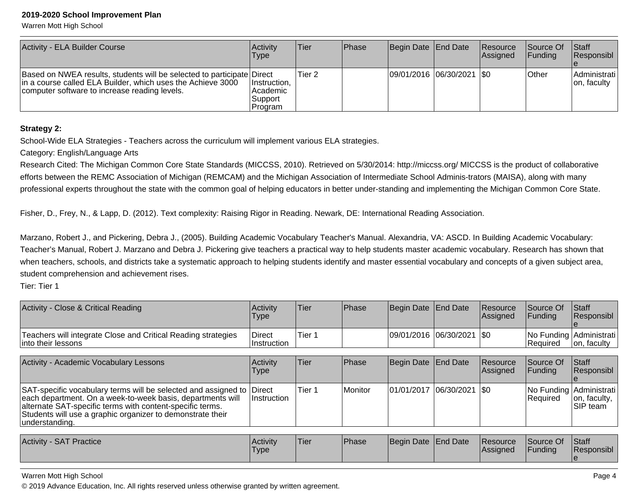Warren Mott High School

| Activity - ELA Builder Course                                                                                                                                                          | Activitv<br><b>Type</b>                             | ∣Tier∶            | <b>IPhase</b> | Begin Date   End Date       | Resource<br>Assigned | Source Of<br><b>IFunding</b> | <b>Staff</b><br> Responsibl  |
|----------------------------------------------------------------------------------------------------------------------------------------------------------------------------------------|-----------------------------------------------------|-------------------|---------------|-----------------------------|----------------------|------------------------------|------------------------------|
| Based on NWEA results, students will be selected to participate Direct<br>In a course called ELA Builder, which uses the Achieve 3000<br>computer software to increase reading levels. | Instruction.<br>l Academic<br>∣Support i<br>Program | Tier <sub>2</sub> |               | 09/01/2016 06/30/2021   \$0 |                      | <b>Other</b>                 | Administrati<br>Jon, faculty |

#### **Strategy 2:**

School-Wide ELA Strategies - Teachers across the curriculum will implement various ELA strategies.

Category: English/Language Arts

Research Cited: The Michigan Common Core State Standards (MICCSS, 2010). Retrieved on 5/30/2014: http://miccss.org/ MICCSS is the product of collaborative efforts between the REMC Association of Michigan (REMCAM) and the Michigan Association of Intermediate School Adminis-trators (MAISA), along with manyprofessional experts throughout the state with the common goal of helping educators in better under-standing and implementing the Michigan Common Core State.

Fisher, D., Frey, N., & Lapp, D. (2012). Text complexity: Raising Rigor in Reading. Newark, DE: International Reading Association.

Marzano, Robert J., and Pickering, Debra J., (2005). Building Academic Vocabulary Teacher's Manual. Alexandria, VA: ASCD. In Building Academic Vocabulary:Teacher's Manual, Robert J. Marzano and Debra J. Pickering give teachers a practical way to help students master academic vocabulary. Research has shown thatwhen teachers, schools, and districts take a systematic approach to helping students identify and master essential vocabulary and concepts of a given subject area, student comprehension and achievement rises.

Tier: Tier 1

| Activity - Close & Critical Reading                                                                                                                                                                                                                                               | Activity<br><b>Type</b>      | Tier   | Phase     | Begin Date End Date         |                     | <b>Resource</b><br>Assigned | <b>Source Of</b><br><b>Funding</b> | <b>Staff</b><br>Responsibl                           |
|-----------------------------------------------------------------------------------------------------------------------------------------------------------------------------------------------------------------------------------------------------------------------------------|------------------------------|--------|-----------|-----------------------------|---------------------|-----------------------------|------------------------------------|------------------------------------------------------|
| Teachers will integrate Close and Critical Reading strategies<br>into their lessons                                                                                                                                                                                               | <b>Direct</b><br>Instruction | Tier 1 |           | 09/01/2016  06/30/2021  \$0 |                     |                             | Required                           | No Funding Administrati<br>on, faculty               |
|                                                                                                                                                                                                                                                                                   |                              |        |           |                             |                     |                             |                                    |                                                      |
| Activity - Academic Vocabulary Lessons                                                                                                                                                                                                                                            | Activity<br>Type             | Tier   | Phase     | Begin Date End Date         |                     | <b>Resource</b><br>Assigned | Source Of<br><b>Funding</b>        | <b>Staff</b><br>Responsibl                           |
| SAT-specific vocabulary terms will be selected and assigned to Direct<br>each department. On a week-to-week basis, departments will<br>alternate SAT-specific terms with content-specific terms.<br>Students will use a graphic organizer to demonstrate their<br>lunderstanding. | Instruction                  | Tier 1 | l Monitor | 01/01/2017                  | $ 06/30/2021 $ \\$0 |                             | Required                           | No Funding Administrati<br> on, faculty,<br>SIP team |

| Activity<br><b>SAT Practice</b> | <b>Activity</b><br>'Type | Tier | <b>IPhase</b> | Begin Date End Date |  | <b>Resource</b><br> Assigned | Source Of<br>Funding | Staff<br>Responsibl |
|---------------------------------|--------------------------|------|---------------|---------------------|--|------------------------------|----------------------|---------------------|
|---------------------------------|--------------------------|------|---------------|---------------------|--|------------------------------|----------------------|---------------------|

Warren Mott High School

© 2019 Advance Education, Inc. All rights reserved unless otherwise granted by written agreement.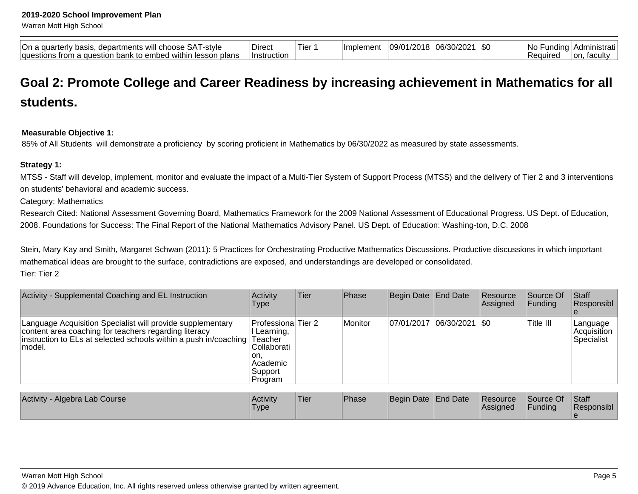Warren Mott High School

| On a quarterly basis,<br>. I -stvle<br>. departments will choose SAT | Direct       | Tier | <b>Ilmplement</b> | 109/01/2018 | /30/202<br>.06/21 ن | <b>SO</b> | -INc<br>∵ndina i. | l Administrati  |
|----------------------------------------------------------------------|--------------|------|-------------------|-------------|---------------------|-----------|-------------------|-----------------|
| n bank to embed within lesson plans<br>questions from a question     | 'Instruction |      |                   |             |                     |           | Required          | facultv<br>Ton. |

# **Goal 2: Promote College and Career Readiness by increasing achievement in Mathematics for allstudents.**

#### **Measurable Objective 1:**

85% of All Students will demonstrate a proficiency by scoring proficient in Mathematics by 06/30/2022 as measured by state assessments.

#### **Strategy 1:**

MTSS - Staff will develop, implement, monitor and evaluate the impact of a Multi-Tier System of Support Process (MTSS) and the delivery of Tier 2 and 3 interventionson students' behavioral and academic success.

Category: Mathematics

Research Cited: National Assessment Governing Board, Mathematics Framework for the 2009 National Assessment of Educational Progress. US Dept. of Education, 2008. Foundations for Success: The Final Report of the National Mathematics Advisory Panel. US Dept. of Education: Washing-ton, D.C. 2008

Stein, Mary Kay and Smith, Margaret Schwan (2011): 5 Practices for Orchestrating Productive Mathematics Discussions. Productive discussions in which importantmathematical ideas are brought to the surface, contradictions are exposed, and understandings are developed or consolidated.Tier: Tier 2

| Activity - Supplemental Coaching and EL Instruction                                                                                                                                                        | Type                                                                                                     | <b>Phase</b> | Begin Date   End Date |                               | <b>Resource</b><br>Assigned | lSource Of<br>IFundina | <b>Staff</b><br>Responsibl             |
|------------------------------------------------------------------------------------------------------------------------------------------------------------------------------------------------------------|----------------------------------------------------------------------------------------------------------|--------------|-----------------------|-------------------------------|-----------------------------|------------------------|----------------------------------------|
| Language Acquisition Specialist will provide supplementary<br>content area coaching for teachers regarding literacy<br>instruction to ELs at selected schools within a push in/coaching Teacher<br>∣model. | <b>Professiona</b> Tier 2<br>II Learning,<br>lCollaborati<br>ion.<br> Academic <br> Support <br> Program | Monitor      |                       | $ 07/01/2017 06/30/2021 $ \$0 |                             | Title III              | Language<br> Acquisition<br>Specialist |

| <b>Activity</b><br><sup>,</sup> - Algebra Lab Course | <b>Activity</b><br>Type | 'Tier | <b>Phase</b> | Begin Date End Date | <b>Resource</b><br> Assigned | Source Of<br><b>Funding</b> | <b>Staff</b><br>Responsibl |
|------------------------------------------------------|-------------------------|-------|--------------|---------------------|------------------------------|-----------------------------|----------------------------|
|                                                      |                         |       |              |                     |                              |                             |                            |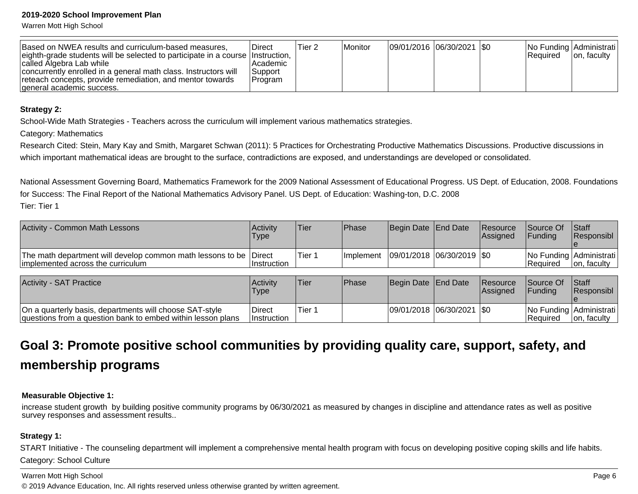Warren Mott High School

| Based on NWEA results and curriculum-based measures,<br>eighth-grade students will be selected to participate in a course linstruction,                                               | ∣Direct                                 | Tier 2 | <b>Monitor</b> | 09/01/2016  06/30/2021  \$0 |  | No Funding Administrati<br>l Reauired | Jon, faculty |
|---------------------------------------------------------------------------------------------------------------------------------------------------------------------------------------|-----------------------------------------|--------|----------------|-----------------------------|--|---------------------------------------|--------------|
| called Algebra Lab while<br>concurrently enrolled in a general math class. Instructors will<br>reteach concepts, provide remediation, and mentor towards<br>general academic success. | l Academic<br><b>Support</b><br>Program |        |                |                             |  |                                       |              |

#### **Strategy 2:**

School-Wide Math Strategies - Teachers across the curriculum will implement various mathematics strategies.

Category: Mathematics

Research Cited: Stein, Mary Kay and Smith, Margaret Schwan (2011): 5 Practices for Orchestrating Productive Mathematics Discussions. Productive discussions inwhich important mathematical ideas are brought to the surface, contradictions are exposed, and understandings are developed or consolidated.

National Assessment Governing Board, Mathematics Framework for the 2009 National Assessment of Educational Progress. US Dept. of Education, 2008. Foundationsfor Success: The Final Report of the National Mathematics Advisory Panel. US Dept. of Education: Washing-ton, D.C. 2008Tier: Tier 1

| <b>Activity - Common Math Lessons</b>                                                                   | Activity<br><b>Type</b> | 'Tier  | <b>Phase</b>                              | Begin Date End Date | <b>Resource</b><br><b>Assigned</b> | Source Of<br><b>IFundina</b> | <b>Staff</b><br><b>Responsibl</b>              |
|---------------------------------------------------------------------------------------------------------|-------------------------|--------|-------------------------------------------|---------------------|------------------------------------|------------------------------|------------------------------------------------|
| The math department will develop common math lessons to be Direct<br>limplemented across the curriculum | ∣Instruction            | Tier 1 | Implement   09/01/2018   06/30/2019   \$0 |                     |                                    | IReauired                    | <b>No Funding Administrati</b><br>Ton, faculty |

| <b>Activity - SAT Practice</b>                                                                                         | Activity<br><b>Type</b>      | 'Tier  | <b>IPhase</b> | Begin Date End Date           | <b>Resource</b><br><b>Assigned</b> | Source Of<br><b>IFundina</b> | <b>Staff</b><br><b>Responsibl</b>       |
|------------------------------------------------------------------------------------------------------------------------|------------------------------|--------|---------------|-------------------------------|------------------------------------|------------------------------|-----------------------------------------|
| On a quarterly basis, departments will choose SAT-style<br>questions from a question bank to embed within lesson plans | Direct<br><b>Instruction</b> | Tier ' |               | $ 09/01/2018 06/30/2021 $ \$0 |                                    | l Reauired                   | No Funding Administrati<br>Ton, faculty |

## **Goal 3: Promote positive school communities by providing quality care, support, safety, andmembership programs**

#### **Measurable Objective 1:**

increase student growth by building positive community programs by 06/30/2021 as measured by changes in discipline and attendance rates as well as positivesurvey responses and assessment results..

#### **Strategy 1:**

START Initiative - The counseling department will implement a comprehensive mental health program with focus on developing positive coping skills and life habits.Category: School Culture

#### Warren Mott High School

© 2019 Advance Education, Inc. All rights reserved unless otherwise granted by written agreement.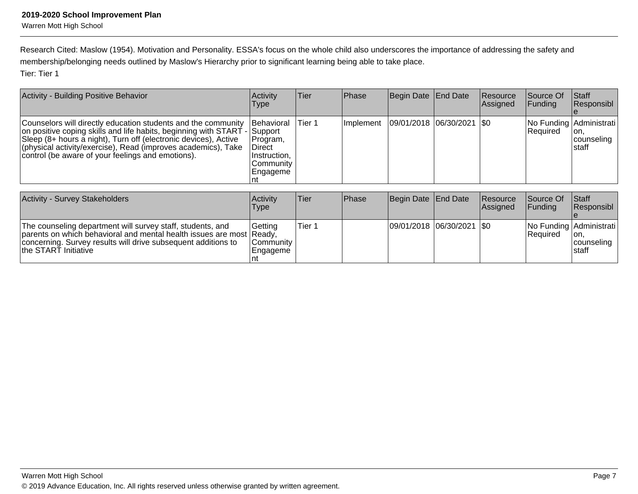Research Cited: Maslow (1954). Motivation and Personality. ESSA's focus on the whole child also underscores the importance of addressing the safety andmembership/belonging needs outlined by Maslow's Hierarchy prior to significant learning being able to take place.Tier: Tier 1

| Activity - Building Positive Behavior                                                                                                                                                                                                                                                                                               | <b>Activity</b><br><b>Type</b>                                                      | Tier    | Phase             | Begin Date End Date           | <b>Resource</b><br><b>Assigned</b> | <b>Source Of</b><br> Funding | <b>Staff</b><br>Responsibl                              |
|-------------------------------------------------------------------------------------------------------------------------------------------------------------------------------------------------------------------------------------------------------------------------------------------------------------------------------------|-------------------------------------------------------------------------------------|---------|-------------------|-------------------------------|------------------------------------|------------------------------|---------------------------------------------------------|
| Counselors will directly education students and the community<br>on positive coping skills and life habits, beginning with START - Support<br>Sleep (8+ hours a night), Turn off (electronic devices), Active<br>(physical activity/exercise), Read (improves academics), Take<br>control (be aware of your feelings and emotions). | <b>Behavioral</b><br>Program,<br>∣Direct<br>Instruction,<br>lCommunitv<br> Engageme | lTier 1 | <b>Ilmplement</b> | $ 09/01/2018 06/30/2021 $ \$0 |                                    | <b>Required</b>              | No Funding Administrati<br>lon.<br>counseling<br>Istaff |

| <b>Activity - Survey Stakeholders</b>                                                                                                                                                                                       | Activity<br>Type                           | Tier   | <b>IPhase</b> | Begin Date End Date           | Resource<br><b>Assigned</b> | <b>Source Of</b><br>IFundina | <b>Staff</b><br>Responsibl                                     |
|-----------------------------------------------------------------------------------------------------------------------------------------------------------------------------------------------------------------------------|--------------------------------------------|--------|---------------|-------------------------------|-----------------------------|------------------------------|----------------------------------------------------------------|
| The counseling department will survey staff, students, and<br>parents on which behavioral and mental health issues are most Ready,<br>concerning. Survey results will drive subsequent additions to<br>the START Initiative | l Gettina<br><b>Community</b><br> Engageme | Tier 1 |               | $ 09/01/2018 06/30/2021 $ \$0 |                             | <b>Required</b>              | No Funding Administrati<br>lon,<br><b>counseling</b><br>Istaff |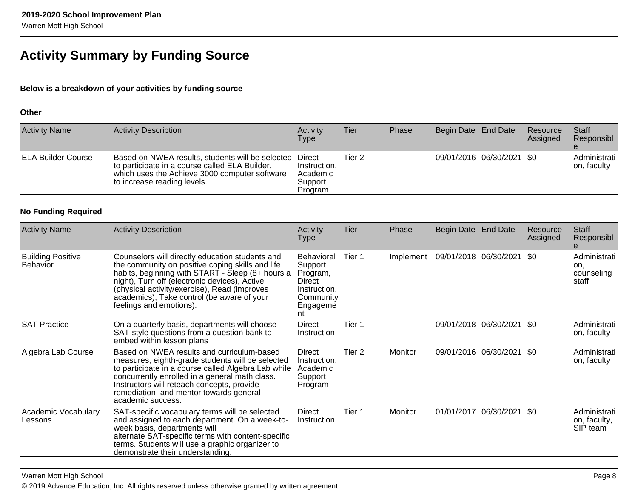## **Activity Summary by Funding Source**

### **Below is a breakdown of your activities by funding source**

#### **Other**

| <b>Activity Name</b>      | Activity Description                                                                                                                                                                       | Activity<br><b>Type</b>                        | <b>Tier</b> | Phase | Begin Date End Date         | Resource<br>Assigned | <b>Staff</b><br>Responsibl   |
|---------------------------|--------------------------------------------------------------------------------------------------------------------------------------------------------------------------------------------|------------------------------------------------|-------------|-------|-----------------------------|----------------------|------------------------------|
| <b>ELA Builder Course</b> | Based on NWEA results, students will be selected Direct<br>to participate in a course called ELA Builder,<br>which uses the Achieve 3000 computer software<br>Ito increase reading levels. | Instruction,<br>Academic<br>Support<br>Program | Tier 2      |       | 09/01/2016 06/30/2021   \$0 |                      | Administrati<br>Jon, faculty |

### **No Funding Required**

| <b>Activity Name</b>                 | <b>Activity Description</b>                                                                                                                                                                                                                                                                                                       | Activity<br><b>Type</b>                                                               | Tier              | Phase     | Begin Date   End Date  |                             | Resource<br>Assigned | Staff<br>Responsibl                          |
|--------------------------------------|-----------------------------------------------------------------------------------------------------------------------------------------------------------------------------------------------------------------------------------------------------------------------------------------------------------------------------------|---------------------------------------------------------------------------------------|-------------------|-----------|------------------------|-----------------------------|----------------------|----------------------------------------------|
| <b>Building Positive</b><br>Behavior | Counselors will directly education students and<br>the community on positive coping skills and life<br>habits, beginning with START - Sleep (8+ hours a<br>night), Turn off (electronic devices), Active<br>(physical activity/exercise), Read (improves<br>academics), Take control (be aware of your<br>feelings and emotions). | Behavioral<br> Support<br>Program,<br>Direct<br>Instruction,<br>Community<br>Engageme | Tier 1            | Implement | 09/01/2018  06/30/2021 |                             | $ 30\rangle$         | Administrati<br>lon.<br> counseling<br>staff |
| <b>SAT Practice</b>                  | On a quarterly basis, departments will choose<br>SAT-style questions from a question bank to<br>embed within lesson plans                                                                                                                                                                                                         | <b>Direct</b><br>Instruction                                                          | Tier 1            |           |                        | 09/01/2018 06/30/2021       | $ \$0\rangle$        | Administrati<br>on, faculty                  |
| Algebra Lab Course                   | Based on NWEA results and curriculum-based<br>measures, eighth-grade students will be selected<br>to participate in a course called Algebra Lab while<br>concurrently enrolled in a general math class.<br>Instructors will reteach concepts, provide<br>remediation, and mentor towards general<br>academic success.             | Direct<br>Instruction,<br>Academic<br>Support<br>Program                              | Tier <sub>2</sub> | Monitor   |                        | 09/01/2016 06/30/2021       | $ \$0$               | Administrati<br>on, faculty                  |
| Academic Vocabulary<br>Lessons       | SAT-specific vocabulary terms will be selected<br>and assigned to each department. On a week-to-<br>week basis, departments will<br>alternate SAT-specific terms with content-specific<br>terms. Students will use a graphic organizer to<br>demonstrate their understanding.                                                     | Direct<br>Instruction                                                                 | Tier 1            | Monitor   |                        | 01/01/2017  06/30/2021  \$0 |                      | Administrati<br>on, faculty,<br>SIP team     |